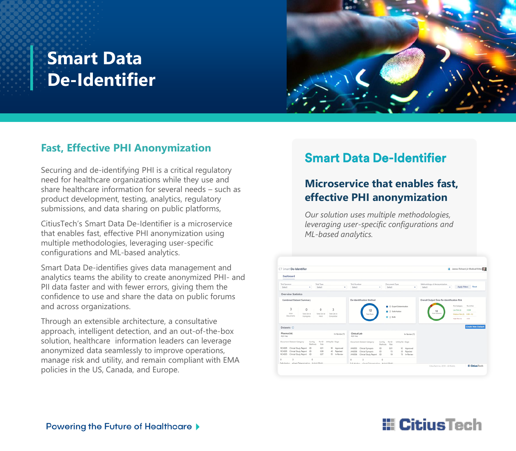# **Smart Data De-Identifier**



#### **Fast, Effective PHI Anonymization**

Securing and de-identifying PHI is a critical regulatory need for healthcare organizations while they use and share healthcare information for several needs – such as product development, testing, analytics, regulatory submissions, and data sharing on public platforms,

CitiusTech's Smart Data De-Identifier is a microservice that enables fast, effective PHI anonymization using multiple methodologies, leveraging user-specific configurations and ML-based analytics.

Smart Data De-identifies gives data management and analytics teams the ability to create anonymized PHI- and PII data faster and with fewer errors, giving them the confidence to use and share the data on public forums and across organizations.

Through an extensible architecture, a consultative approach, intelligent detection, and an out-of-the-box solution, healthcare information leaders can leverage anonymized data seamlessly to improve operations, manage risk and utility, and remain compliant with EMA policies in the US, Canada, and Europe.

### Smart Data De-Identifier

### **Microservice that enables fast, effective PHI anonymization**

*Our solution uses multiple methodologies, leveraging user-specific configurations and ML-based analytics.*

| CT Smart De-Identifier                                                                                                                                          |                                                  |                     |                                     |                                 |                  |                                            | A James Richard (Jr Medical Writer)         |
|-----------------------------------------------------------------------------------------------------------------------------------------------------------------|--------------------------------------------------|---------------------|-------------------------------------|---------------------------------|------------------|--------------------------------------------|---------------------------------------------|
| Dashboard<br>_____                                                                                                                                              |                                                  |                     |                                     |                                 |                  |                                            |                                             |
| Trial Sponsor<br>Select                                                                                                                                         | Trial Type<br>Select<br>$\overline{\phantom{a}}$ | ٠                   | Trial Number<br>Select              | Document Type<br>Salect<br>۰    | ٠                | Methodology of Anonymization<br>Select     | <b>Aggly Filters Reset</b><br>٠             |
| Overview Statistics                                                                                                                                             |                                                  |                     |                                     |                                 |                  |                                            |                                             |
| Combined Dataset Summary                                                                                                                                        |                                                  |                     | De-Identification Method            |                                 |                  | Overall Output Data Re-Identification Risk |                                             |
|                                                                                                                                                                 |                                                  |                     |                                     | <b>B</b> 8 Expert Determination |                  |                                            | <b><i>Risk Category</i></b><br>Ray Ad River |
|                                                                                                                                                                 |                                                  |                     |                                     |                                 |                  |                                            |                                             |
| 3<br>$\Omega$                                                                                                                                                   | $\Omega$                                         | 3                   | 12                                  |                                 |                  | 12                                         | $-2.08$<br>Lew Risk (2)                     |
| Total<br>Total De-Id                                                                                                                                            | Total De-Jol                                     | Total De-Id         | <b>Total Roms</b>                   | 2 Sale Harbor                   |                  | <b>Total Dateness</b>                      | Medium Risk (2) 0.00 - 0.2                  |
| Documents<br>Inanagerss                                                                                                                                         | Hold                                             | Completed           |                                     | E 2 Belly                       |                  |                                            | High Rok (1)<br>14.2                        |
|                                                                                                                                                                 |                                                  |                     |                                     |                                 |                  |                                            | <b>Create New Dataset</b>                   |
|                                                                                                                                                                 |                                                  | In-Review (7)       | Clinical Lab<br><b>PCE File</b>     |                                 | In-Review (1)    |                                            |                                             |
|                                                                                                                                                                 | Re-ID<br>Config<br>Rick<br>Methanis.             | UNRyON Stage        | Document Dataset Category           | Config Re-ID<br>Methods Risk    | Ukility(%) Stage |                                            |                                             |
|                                                                                                                                                                 | 0.01                                             | 90 Asproved         | Clinical Synopsis<br>349/203        | xn<br>0.01                      | 92 Approved      |                                            |                                             |
| Clinical Study Report XD                                                                                                                                        | 0.08                                             | 40<br>Rejected      | Clinical Synopsis<br>34NDO6         | XD<br>15                        | 30 Relected      |                                            |                                             |
| Clinical Study Report XD                                                                                                                                        | 0.07                                             | <b>95 In-Review</b> | Clinical Study Report 3D<br>3490006 | 19                              | 70 In-Review     |                                            |                                             |
| Datasets (i)<br>Pharma Ltd.<br><b>POS FA+</b><br>Document Dataset Category<br>RCH005 Clinical Study Report XD<br>ROHOOS<br>RCHOOS<br>$\Omega$<br>$\overline{a}$ | $\alpha$                                         |                     | $\circ$<br>$\alpha$                 | $\alpha$                        |                  |                                            |                                             |

## **E** CitiusTech